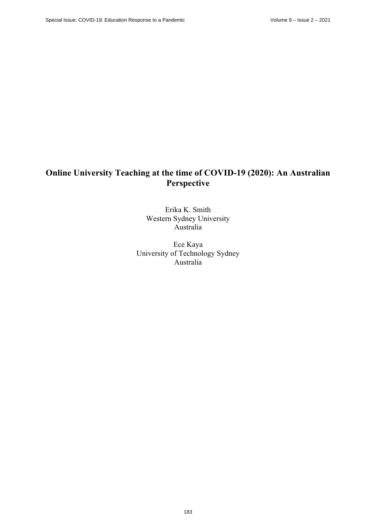# **Online University Teaching at the time of COVID-19 (2020): An Australian Perspective**

Erika K. Smith Western Sydney University Australia

Ece Kaya University of Technology Sydney Australia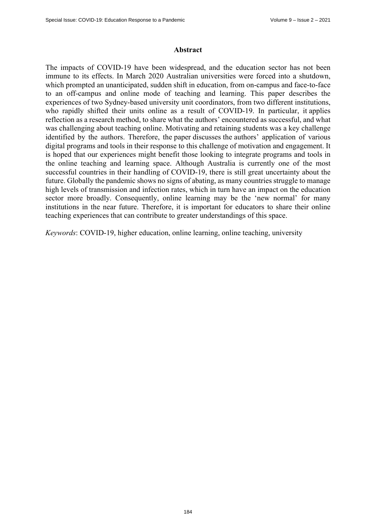#### **Abstract**

The impacts of COVID-19 have been widespread, and the education sector has not been immune to its effects. In March 2020 Australian universities were forced into a shutdown, which prompted an unanticipated, sudden shift in education, from on-campus and face-to-face to an off-campus and online mode of teaching and learning. This paper describes the experiences of two Sydney-based university unit coordinators, from two different institutions, who rapidly shifted their units online as a result of COVID-19. In particular, it applies reflection as a research method, to share what the authors' encountered as successful, and what was challenging about teaching online. Motivating and retaining students was a key challenge identified by the authors. Therefore, the paper discusses the authors' application of various digital programs and tools in their response to this challenge of motivation and engagement. It is hoped that our experiences might benefit those looking to integrate programs and tools in the online teaching and learning space. Although Australia is currently one of the most successful countries in their handling of COVID-19, there is still great uncertainty about the future. Globally the pandemic shows no signs of abating, as many countries struggle to manage high levels of transmission and infection rates, which in turn have an impact on the education sector more broadly. Consequently, online learning may be the 'new normal' for many institutions in the near future. Therefore, it is important for educators to share their online teaching experiences that can contribute to greater understandings of this space.

*Keywords*: COVID-19, higher education, online learning, online teaching, university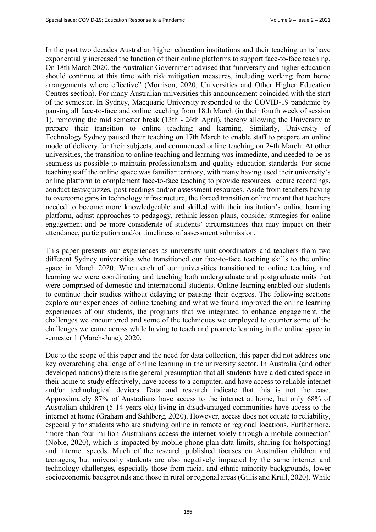In the past two decades Australian higher education institutions and their teaching units have exponentially increased the function of their online platforms to support face-to-face teaching. On 18th March 2020, the Australian Government advised that "university and higher education should continue at this time with risk mitigation measures, including working from home arrangements where effective" (Morrison, 2020, Universities and Other Higher Education Centres section). For many Australian universities this announcement coincided with the start of the semester. In Sydney, Macquarie University responded to the COVID-19 pandemic by pausing all face-to-face and online teaching from 18th March (in their fourth week of session 1), removing the mid semester break (13th - 26th April), thereby allowing the University to prepare their transition to online teaching and learning. Similarly, University of Technology Sydney paused their teaching on 17th March to enable staff to prepare an online mode of delivery for their subjects, and commenced online teaching on 24th March. At other universities, the transition to online teaching and learning was immediate, and needed to be as seamless as possible to maintain professionalism and quality education standards. For some teaching staff the online space was familiar territory, with many having used their university's online platform to complement face-to-face teaching to provide resources, lecture recordings, conduct tests/quizzes, post readings and/or assessment resources. Aside from teachers having to overcome gaps in technology infrastructure, the forced transition online meant that teachers needed to become more knowledgeable and skilled with their institution's online learning platform, adjust approaches to pedagogy, rethink lesson plans, consider strategies for online engagement and be more considerate of students' circumstances that may impact on their attendance, participation and/or timeliness of assessment submission.

This paper presents our experiences as university unit coordinators and teachers from two different Sydney universities who transitioned our face-to-face teaching skills to the online space in March 2020. When each of our universities transitioned to online teaching and learning we were coordinating and teaching both undergraduate and postgraduate units that were comprised of domestic and international students. Online learning enabled our students to continue their studies without delaying or pausing their degrees. The following sections explore our experiences of online teaching and what we found improved the online learning experiences of our students, the programs that we integrated to enhance engagement, the challenges we encountered and some of the techniques we employed to counter some of the challenges we came across while having to teach and promote learning in the online space in semester 1 (March-June), 2020.

Due to the scope of this paper and the need for data collection, this paper did not address one key overarching challenge of online learning in the university sector. In Australia (and other developed nations) there is the general presumption that all students have a dedicated space in their home to study effectively, have access to a computer, and have access to reliable internet and/or technological devices. Data and research indicate that this is not the case. Approximately 87% of Australians have access to the internet at home, but only 68% of Australian children (5-14 years old) living in disadvantaged communities have access to the internet at home (Graham and Sahlberg, 2020). However, access does not equate to reliability, especially for students who are studying online in remote or regional locations. Furthermore, 'more than four million Australians access the internet solely through a mobile connection' (Noble, 2020), which is impacted by mobile phone plan data limits, sharing (or hotspotting) and internet speeds. Much of the research published focuses on Australian children and teenagers, but university students are also negatively impacted by the same internet and technology challenges, especially those from racial and ethnic minority backgrounds, lower socioeconomic backgrounds and those in rural or regional areas (Gillis and Krull, 2020). While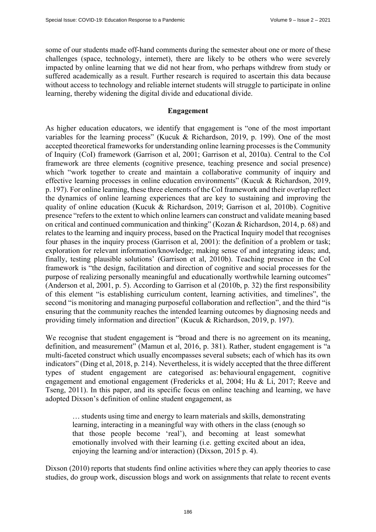some of our students made off-hand comments during the semester about one or more of these challenges (space, technology, internet), there are likely to be others who were severely impacted by online learning that we did not hear from, who perhaps withdrew from study or suffered academically as a result. Further research is required to ascertain this data because without access to technology and reliable internet students will struggle to participate in online learning, thereby widening the digital divide and educational divide.

### **Engagement**

As higher education educators, we identify that engagement is "one of the most important variables for the learning process" (Kucuk & Richardson, 2019, p. 199). One of the most accepted theoretical frameworks for understanding online learning processes is the Community of Inquiry (CoI) framework (Garrison et al, 2001; Garrison et al, 2010a). Central to the CoI framework are three elements (cognitive presence, teaching presence and social presence) which "work together to create and maintain a collaborative community of inquiry and effective learning processes in online education environments" (Kucuk & Richardson, 2019, p. 197). For online learning, these three elements of the CoI framework and their overlap reflect the dynamics of online learning experiences that are key to sustaining and improving the quality of online education (Kucuk & Richardson, 2019; Garrison et al, 2010b). Cognitive presence "refers to the extent to which online learners can construct and validate meaning based on critical and continued communication and thinking" (Kozan & Richardson, 2014, p. 68) and relates to the learning and inquiry process, based on the Practical Inquiry model that recognises four phases in the inquiry process (Garrison et al, 2001): the definition of a problem or task; exploration for relevant information/knowledge; making sense of and integrating ideas; and, finally, testing plausible solutions' (Garrison et al, 2010b). Teaching presence in the CoI framework is "the design, facilitation and direction of cognitive and social processes for the purpose of realizing personally meaningful and educationally worthwhile learning outcomes" (Anderson et al, 2001, p. 5). According to Garrison et al (2010b, p. 32) the first responsibility of this element "is establishing curriculum content, learning activities, and timelines", the second "is monitoring and managing purposeful collaboration and reflection", and the third "is ensuring that the community reaches the intended learning outcomes by diagnosing needs and providing timely information and direction" (Kucuk & Richardson, 2019, p. 197).

We recognise that student engagement is "broad and there is no agreement on its meaning, definition, and measurement" (Mamun et al, 2016, p. 381). Rather, student engagement is "a multi-faceted construct which usually encompasses several subsets; each of which has its own indicators" (Ding et al, 2018, p. 214). Nevertheless, it is widely accepted that the three different types of student engagement are categorised as: behavioural engagement, cognitive engagement and emotional engagement (Fredericks et al, 2004; Hu & Li, 2017; Reeve and Tseng, 2011). In this paper, and its specific focus on online teaching and learning, we have adopted Dixson's definition of online student engagement, as

… students using time and energy to learn materials and skills, demonstrating learning, interacting in a meaningful way with others in the class (enough so that those people become 'real'), and becoming at least somewhat emotionally involved with their learning (i.e. getting excited about an idea, enjoying the learning and/or interaction) (Dixson, 2015 p. 4).

Dixson (2010) reports that students find online activities where they can apply theories to case studies, do group work, discussion blogs and work on assignments that relate to recent events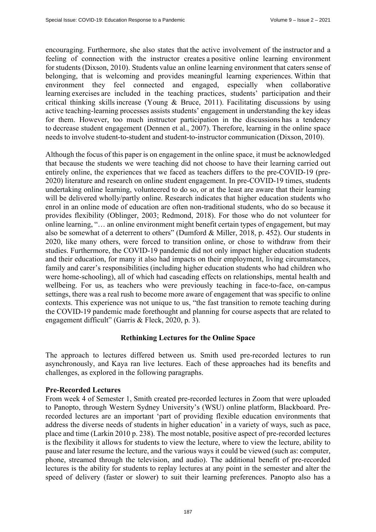encouraging. Furthermore, she also states that the active involvement of the instructor and a feeling of connection with the instructor creates a positive online learning environment for students (Dixson, 2010). Students value an online learning environment that caters sense of belonging, that is welcoming and provides meaningful learning experiences. Within that environment they feel connected and engaged, especially when collaborative learning exercises are included in the teaching practices, students' participation and their critical thinking skills increase (Young & Bruce, 2011).  Facilitating discussions by using active teaching-learning processes assists students' engagement in understanding the key ideas for them. However, too much instructor participation in the discussions has a tendency to decrease student engagement (Dennen et al., 2007). Therefore, learning in the online space needs to involve student-to-student and student-to-instructor communication (Dixson, 2010).    

Although the focus of this paper is on engagement in the online space, it must be acknowledged that because the students we were teaching did not choose to have their learning carried out entirely online, the experiences that we faced as teachers differs to the pre-COVID-19 (pre-2020) literature and research on online student engagement. In pre-COVID-19 times, students undertaking online learning, volunteered to do so, or at the least are aware that their learning will be delivered wholly/partly online. Research indicates that higher education students who enrol in an online mode of education are often non-traditional students, who do so because it provides flexibility (Oblinger, 2003; Redmond, 2018). For those who do not volunteer for online learning, "… an online environment might benefit certain types of engagement, but may also be somewhat of a deterrent to others" (Dumford & Miller, 2018, p. 452). Our students in 2020, like many others, were forced to transition online, or chose to withdraw from their studies. Furthermore, the COVID-19 pandemic did not only impact higher education students and their education, for many it also had impacts on their employment, living circumstances, family and carer's responsibilities (including higher education students who had children who were home-schooling), all of which had cascading effects on relationships, mental health and wellbeing. For us, as teachers who were previously teaching in face-to-face, on-campus settings, there was a real rush to become more aware of engagement that was specific to online contexts. This experience was not unique to us, "the fast transition to remote teaching during the COVID-19 pandemic made forethought and planning for course aspects that are related to engagement difficult" (Garris & Fleck, 2020, p. 3).

# **Rethinking Lectures for the Online Space**

The approach to lectures differed between us. Smith used pre-recorded lectures to run asynchronously, and Kaya ran live lectures. Each of these approaches had its benefits and challenges, as explored in the following paragraphs.

# **Pre-Recorded Lectures**

From week 4 of Semester 1, Smith created pre-recorded lectures in Zoom that were uploaded to Panopto, through Western Sydney University's (WSU) online platform, Blackboard. Prerecorded lectures are an important 'part of providing flexible education environments that address the diverse needs of students in higher education' in a variety of ways, such as pace, place and time (Larkin 2010 p. 238). The most notable, positive aspect of pre-recorded lectures is the flexibility it allows for students to view the lecture, where to view the lecture, ability to pause and later resume the lecture, and the various ways it could be viewed (such as: computer, phone, streamed through the television, and audio). The additional benefit of pre-recorded lectures is the ability for students to replay lectures at any point in the semester and alter the speed of delivery (faster or slower) to suit their learning preferences. Panopto also has a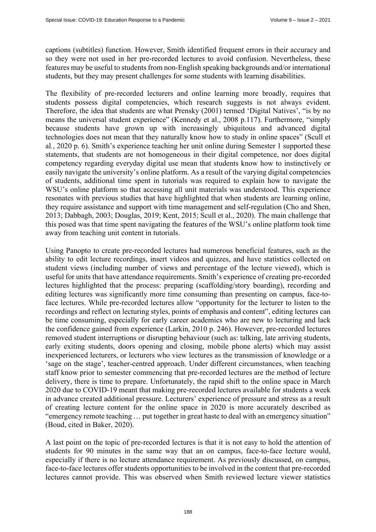captions (subtitles) function. However, Smith identified frequent errors in their accuracy and so they were not used in her pre-recorded lectures to avoid confusion. Nevertheless, these features may be useful to students from non-English speaking backgrounds and/or international students, but they may present challenges for some students with learning disabilities.

The flexibility of pre-recorded lecturers and online learning more broadly, requires that students possess digital competencies, which research suggests is not always evident. Therefore, the idea that students are what Prensky (2001) termed 'Digital Natives', "is by no means the universal student experience" (Kennedy et al., 2008 p.117). Furthermore, "simply because students have grown up with increasingly ubiquitous and advanced digital technologies does not mean that they naturally know how to study in online spaces" (Scull et al*.*, 2020 p. 6). Smith's experience teaching her unit online during Semester 1 supported these statements, that students are not homogeneous in their digital competence, nor does digital competency regarding everyday digital use mean that students know how to instinctively or easily navigate the university's online platform. As a result of the varying digital competencies of students, additional time spent in tutorials was required to explain how to navigate the WSU's online platform so that accessing all unit materials was understood. This experience resonates with previous studies that have highlighted that when students are learning online, they require assistance and support with time management and self-regulation (Cho and Shen, 2013; Dabbagh, 2003; Douglas, 2019; Kent, 2015; Scull et al., 2020). The main challenge that this posed was that time spent navigating the features of the WSU's online platform took time away from teaching unit content in tutorials.

Using Panopto to create pre-recorded lectures had numerous beneficial features, such as the ability to edit lecture recordings, insert videos and quizzes, and have statistics collected on student views (including number of views and percentage of the lecture viewed), which is useful for units that have attendance requirements. Smith's experience of creating pre-recorded lectures highlighted that the process: preparing (scaffolding/story boarding), recording and editing lectures was significantly more time consuming than presenting on campus, face-toface lectures. While pre-recorded lectures allow "opportunity for the lecturer to listen to the recordings and reflect on lecturing styles, points of emphasis and content", editing lectures can be time consuming, especially for early career academics who are new to lecturing and lack the confidence gained from experience (Larkin, 2010 p. 246). However, pre-recorded lectures removed student interruptions or disrupting behaviour (such as: talking, late arriving students, early exiting students, doors opening and closing, mobile phone alerts) which may assist inexperienced lecturers, or lecturers who view lectures as the transmission of knowledge or a 'sage on the stage', teacher-centred approach. Under different circumstances, when teaching staff know prior to semester commencing that pre-recorded lectures are the method of lecture delivery, there is time to prepare. Unfortunately, the rapid shift to the online space in March 2020 due to COVID-19 meant that making pre-recorded lectures available for students a week in advance created additional pressure. Lecturers' experience of pressure and stress as a result of creating lecture content for the online space in 2020 is more accurately described as "emergency remote teaching … put together in great haste to deal with an emergency situation" (Boud, cited in Baker, 2020).

A last point on the topic of pre-recorded lectures is that it is not easy to hold the attention of students for 90 minutes in the same way that an on campus, face-to-face lecture would, especially if there is no lecture attendance requirement. As previously discussed, on campus, face-to-face lectures offer students opportunities to be involved in the content that pre-recorded lectures cannot provide. This was observed when Smith reviewed lecture viewer statistics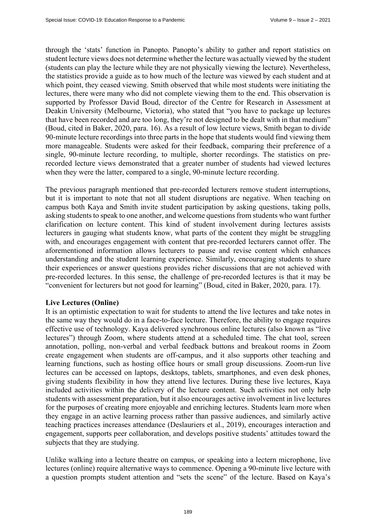through the 'stats' function in Panopto. Panopto's ability to gather and report statistics on student lecture views does not determine whether the lecture was actually viewed by the student (students can play the lecture while they are not physically viewing the lecture). Nevertheless, the statistics provide a guide as to how much of the lecture was viewed by each student and at which point, they ceased viewing. Smith observed that while most students were initiating the lectures, there were many who did not complete viewing them to the end. This observation is supported by Professor David Boud, director of the Centre for Research in Assessment at Deakin University (Melbourne, Victoria), who stated that "you have to package up lectures that have been recorded and are too long, they're not designed to be dealt with in that medium" (Boud, cited in Baker, 2020, para. 16). As a result of low lecture views, Smith began to divide 90-minute lecture recordings into three parts in the hope that students would find viewing them more manageable. Students were asked for their feedback, comparing their preference of a single, 90-minute lecture recording, to multiple, shorter recordings. The statistics on prerecorded lecture views demonstrated that a greater number of students had viewed lectures when they were the latter, compared to a single, 90-minute lecture recording.

The previous paragraph mentioned that pre-recorded lecturers remove student interruptions, but it is important to note that not all student disruptions are negative. When teaching on campus both Kaya and Smith invite student participation by asking questions, taking polls, asking students to speak to one another, and welcome questions from students who want further clarification on lecture content. This kind of student involvement during lectures assists lecturers in gauging what students know, what parts of the content they might be struggling with, and encourages engagement with content that pre-recorded lecturers cannot offer. The aforementioned information allows lecturers to pause and revise content which enhances understanding and the student learning experience. Similarly, encouraging students to share their experiences or answer questions provides richer discussions that are not achieved with pre-recorded lectures. In this sense, the challenge of pre-recorded lectures is that it may be "convenient for lecturers but not good for learning" (Boud, cited in Baker, 2020, para. 17).

#### **Live Lectures (Online)**

It is an optimistic expectation to wait for students to attend the live lectures and take notes in the same way they would do in a face-to-face lecture. Therefore, the ability to engage requires effective use of technology. Kaya delivered synchronous online lectures (also known as "live lectures") through Zoom, where students attend at a scheduled time. The chat tool, screen annotation, polling, non-verbal and verbal feedback buttons and breakout rooms in Zoom create engagement when students are off-campus, and it also supports other teaching and learning functions, such as hosting office hours or small group discussions. Zoom-run live lectures can be accessed on laptops, desktops, tablets, smartphones, and even desk phones, giving students flexibility in how they attend live lectures. During these live lectures, Kaya included activities within the delivery of the lecture content. Such activities not only help students with assessment preparation, but it also encourages active involvement in live lectures for the purposes of creating more enjoyable and enriching lectures. Students learn more when they engage in an active learning process rather than passive audiences, and similarly active teaching practices increases attendance (Deslauriers et al., 2019), encourages interaction and engagement, supports peer collaboration, and develops positive students' attitudes toward the subjects that they are studying.

Unlike walking into a lecture theatre on campus, or speaking into a lectern microphone, live lectures (online) require alternative ways to commence. Opening a 90-minute live lecture with a question prompts student attention and "sets the scene" of the lecture. Based on Kaya's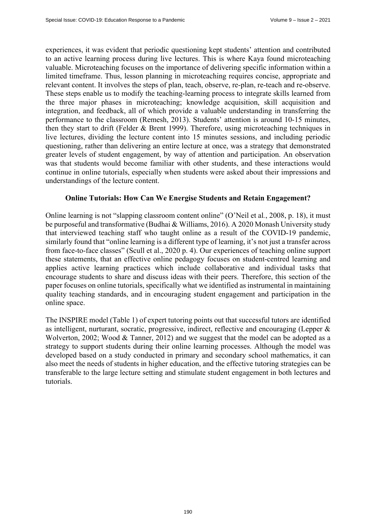experiences, it was evident that periodic questioning kept students' attention and contributed to an active learning process during live lectures. This is where Kaya found microteaching valuable. Microteaching focuses on the importance of delivering specific information within a limited timeframe. Thus, lesson planning in microteaching requires concise, appropriate and relevant content. It involves the steps of plan, teach, observe, re-plan, re-teach and re-observe. These steps enable us to modify the teaching-learning process to integrate skills learned from the three major phases in microteaching; knowledge acquisition, skill acquisition and integration, and feedback, all of which provide a valuable understanding in transferring the performance to the classroom (Remesh, 2013). Students' attention is around 10-15 minutes, then they start to drift (Felder & Brent 1999). Therefore, using microteaching techniques in live lectures, dividing the lecture content into 15 minutes sessions, and including periodic questioning, rather than delivering an entire lecture at once, was a strategy that demonstrated greater levels of student engagement, by way of attention and participation. An observation was that students would become familiar with other students, and these interactions would continue in online tutorials, especially when students were asked about their impressions and understandings of the lecture content.

#### **Online Tutorials: How Can We Energise Students and Retain Engagement?**

Online learning is not "slapping classroom content online" (O'Neil et al*.*, 2008, p. 18), it must be purposeful and transformative (Budhai & Williams, 2016). A 2020 Monash University study that interviewed teaching staff who taught online as a result of the COVID-19 pandemic, similarly found that "online learning is a different type of learning, it's not just a transfer across from face-to-face classes" (Scull et al., 2020 p. 4). Our experiences of teaching online support these statements, that an effective online pedagogy focuses on student-centred learning and applies active learning practices which include collaborative and individual tasks that encourage students to share and discuss ideas with their peers. Therefore, this section of the paper focuses on online tutorials, specifically what we identified as instrumental in maintaining quality teaching standards, and in encouraging student engagement and participation in the online space.

The INSPIRE model (Table 1) of expert tutoring points out that successful tutors are identified as intelligent, nurturant, socratic, progressive, indirect, reflective and encouraging (Lepper & Wolverton, 2002; Wood & Tanner, 2012) and we suggest that the model can be adopted as a strategy to support students during their online learning processes. Although the model was developed based on a study conducted in primary and secondary school mathematics, it can also meet the needs of students in higher education, and the effective tutoring strategies can be transferable to the large lecture setting and stimulate student engagement in both lectures and tutorials.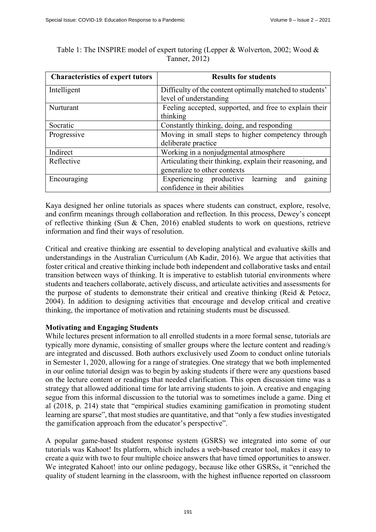| <b>Characteristics of expert tutors</b> | <b>Results for students</b>                               |  |  |
|-----------------------------------------|-----------------------------------------------------------|--|--|
| Intelligent                             | Difficulty of the content optimally matched to students'  |  |  |
|                                         | level of understanding                                    |  |  |
| Nurturant                               | Feeling accepted, supported, and free to explain their    |  |  |
|                                         | thinking                                                  |  |  |
| Socratic                                | Constantly thinking, doing, and responding                |  |  |
| Progressive                             | Moving in small steps to higher competency through        |  |  |
|                                         | deliberate practice                                       |  |  |
| Indirect                                | Working in a nonjudgmental atmosphere                     |  |  |
| Reflective                              | Articulating their thinking, explain their reasoning, and |  |  |
|                                         | generalize to other contexts                              |  |  |
| Encouraging                             | gaining<br>Experiencing productive<br>learning<br>and     |  |  |
|                                         | confidence in their abilities                             |  |  |

Table 1: The INSPIRE model of expert tutoring (Lepper & Wolverton, 2002; Wood & Tanner, 2012)

Kaya designed her online tutorials as spaces where students can construct, explore, resolve, and confirm meanings through collaboration and reflection. In this process, Dewey's concept of reflective thinking (Sun & Chen, 2016) enabled students to work on questions, retrieve information and find their ways of resolution.

Critical and creative thinking are essential to developing analytical and evaluative skills and understandings in the Australian Curriculum (Ab Kadir, 2016). We argue that activities that foster critical and creative thinking include both independent and collaborative tasks and entail transition between ways of thinking. It is imperative to establish tutorial environments where students and teachers collaborate, actively discuss, and articulate activities and assessments for the purpose of students to demonstrate their critical and creative thinking (Reid & Petocz, 2004). In addition to designing activities that encourage and develop critical and creative thinking, the importance of motivation and retaining students must be discussed.

# **Motivating and Engaging Students**

While lectures present information to all enrolled students in a more formal sense, tutorials are typically more dynamic, consisting of smaller groups where the lecture content and reading/s are integrated and discussed. Both authors exclusively used Zoom to conduct online tutorials in Semester 1, 2020, allowing for a range of strategies. One strategy that we both implemented in our online tutorial design was to begin by asking students if there were any questions based on the lecture content or readings that needed clarification. This open discussion time was a strategy that allowed additional time for late arriving students to join. A creative and engaging segue from this informal discussion to the tutorial was to sometimes include a game. Ding et al (2018, p. 214) state that "empirical studies examining gamification in promoting student learning are sparse", that most studies are quantitative, and that "only a few studies investigated the gamification approach from the educator's perspective".

A popular game-based student response system (GSRS) we integrated into some of our tutorials was Kahoot! Its platform, which includes a web-based creator tool, makes it easy to create a quiz with two to four multiple choice answers that have timed opportunities to answer. We integrated Kahoot! into our online pedagogy, because like other GSRSs, it "enriched the quality of student learning in the classroom, with the highest influence reported on classroom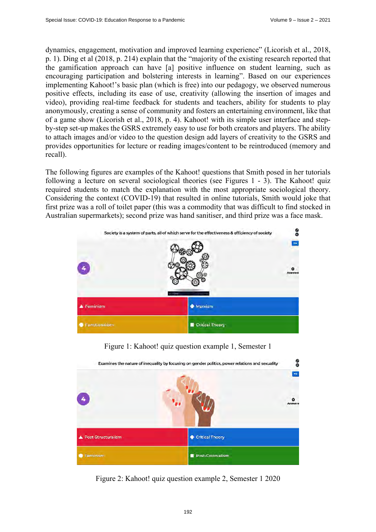dynamics, engagement, motivation and improved learning experience" (Licorish et al., 2018, p. 1). Ding et al (2018, p. 214) explain that the "majority of the existing research reported that the gamification approach can have [a] positive influence on student learning, such as encouraging participation and bolstering interests in learning". Based on our experiences implementing Kahoot!'s basic plan (which is free) into our pedagogy, we observed numerous positive effects, including its ease of use, creativity (allowing the insertion of images and video), providing real-time feedback for students and teachers, ability for students to play anonymously, creating a sense of community and fosters an entertaining environment, like that of a game show (Licorish et al., 2018, p. 4). Kahoot! with its simple user interface and stepby-step set-up makes the GSRS extremely easy to use for both creators and players. The ability to attach images and/or video to the question design add layers of creativity to the GSRS and provides opportunities for lecture or reading images/content to be reintroduced (memory and recall).

The following figures are examples of the Kahoot! questions that Smith posed in her tutorials following a lecture on several sociological theories (see Figures 1 - 3). The Kahoot! quiz required students to match the explanation with the most appropriate sociological theory. Considering the context (COVID-19) that resulted in online tutorials, Smith would joke that first prize was a roll of toilet paper (this was a commodity that was difficult to find stocked in Australian supermarkets); second prize was hand sanitiser, and third prize was a face mask.



Figure 1: Kahoot! quiz question example 1, Semester 1



Figure 2: Kahoot! quiz question example 2, Semester 1 2020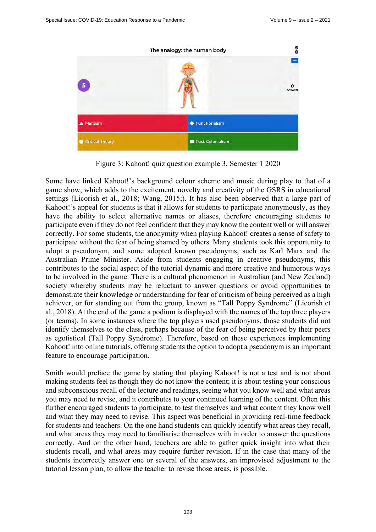

Figure 3: Kahoot! quiz question example 3, Semester 1 2020

Some have linked Kahoot!'s background colour scheme and music during play to that of a game show, which adds to the excitement, novelty and creativity of the GSRS in educational settings (Licorish et al., 2018; Wang, 2015;). It has also been observed that a large part of Kahoot!'s appeal for students is that it allows for students to participate anonymously, as they have the ability to select alternative names or aliases, therefore encouraging students to participate even if they do not feel confident that they may know the content well or will answer correctly. For some students, the anonymity when playing Kahoot! creates a sense of safety to participate without the fear of being shamed by others. Many students took this opportunity to adopt a pseudonym, and some adopted known pseudonyms, such as Karl Marx and the Australian Prime Minister. Aside from students engaging in creative pseudonyms, this contributes to the social aspect of the tutorial dynamic and more creative and humorous ways to be involved in the game. There is a cultural phenomenon in Australian (and New Zealand) society whereby students may be reluctant to answer questions or avoid opportunities to demonstrate their knowledge or understanding for fear of criticism of being perceived as a high achiever, or for standing out from the group, known as "Tall Poppy Syndrome" (Licorish et al., 2018). At the end of the game a podium is displayed with the names of the top three players (or teams). In some instances where the top players used pseudonyms, those students did not identify themselves to the class, perhaps because of the fear of being perceived by their peers as egotistical (Tall Poppy Syndrome). Therefore, based on these experiences implementing Kahoot! into online tutorials, offering students the option to adopt a pseudonym is an important feature to encourage participation.

Smith would preface the game by stating that playing Kahoot! is not a test and is not about making students feel as though they do not know the content; it is about testing your conscious and subconscious recall of the lecture and readings, seeing what you know well and what areas you may need to revise, and it contributes to your continued learning of the content. Often this further encouraged students to participate, to test themselves and what content they know well and what they may need to revise. This aspect was beneficial in providing real-time feedback for students and teachers. On the one hand students can quickly identify what areas they recall, and what areas they may need to familiarise themselves with in order to answer the questions correctly. And on the other hand, teachers are able to gather quick insight into what their students recall, and what areas may require further revision. If in the case that many of the students incorrectly answer one or several of the answers, an improvised adjustment to the tutorial lesson plan, to allow the teacher to revise those areas, is possible.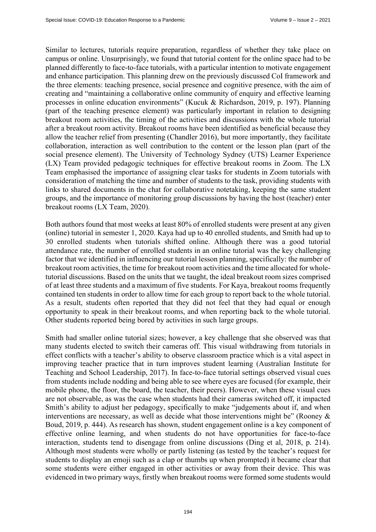Similar to lectures, tutorials require preparation, regardless of whether they take place on campus or online. Unsurprisingly, we found that tutorial content for the online space had to be planned differently to face-to-face tutorials, with a particular intention to motivate engagement and enhance participation. This planning drew on the previously discussed CoI framework and the three elements: teaching presence, social presence and cognitive presence, with the aim of creating and "maintaining a collaborative online community of enquiry and effective learning processes in online education environments" (Kucuk & Richardson, 2019, p. 197). Planning (part of the teaching presence element) was particularly important in relation to designing breakout room activities, the timing of the activities and discussions with the whole tutorial after a breakout room activity. Breakout rooms have been identified as beneficial because they allow the teacher relief from presenting (Chandler 2016), but more importantly, they facilitate collaboration, interaction as well contribution to the content or the lesson plan (part of the social presence element). The University of Technology Sydney (UTS) Learner Experience (LX) Team provided pedagogic techniques for effective breakout rooms in Zoom. The LX Team emphasised the importance of assigning clear tasks for students in Zoom tutorials with consideration of matching the time and number of students to the task, providing students with links to shared documents in the chat for collaborative notetaking, keeping the same student groups, and the importance of monitoring group discussions by having the host (teacher) enter breakout rooms (LX Team, 2020).

Both authors found that most weeks at least 80% of enrolled students were present at any given (online) tutorial in semester 1, 2020. Kaya had up to 40 enrolled students, and Smith had up to 30 enrolled students when tutorials shifted online. Although there was a good tutorial attendance rate, the number of enrolled students in an online tutorial was the key challenging factor that we identified in influencing our tutorial lesson planning, specifically: the number of breakout room activities, the time for breakout room activities and the time allocated for wholetutorial discussions. Based on the units that we taught, the ideal breakout room sizes comprised of at least three students and a maximum of five students. For Kaya, breakout rooms frequently contained ten students in order to allow time for each group to report back to the whole tutorial. As a result, students often reported that they did not feel that they had equal or enough opportunity to speak in their breakout rooms, and when reporting back to the whole tutorial. Other students reported being bored by activities in such large groups.

Smith had smaller online tutorial sizes; however, a key challenge that she observed was that many students elected to switch their cameras off. This visual withdrawing from tutorials in effect conflicts with a teacher's ability to observe classroom practice which is a vital aspect in improving teacher practice that in turn improves student learning (Australian Institute for Teaching and School Leadership, 2017). In face-to-face tutorial settings observed visual cues from students include nodding and being able to see where eyes are focused (for example, their mobile phone, the floor, the board, the teacher, their peers). However, when these visual cues are not observable, as was the case when students had their cameras switched off, it impacted Smith's ability to adjust her pedagogy, specifically to make "judgements about if, and when interventions are necessary, as well as decide what those interventions might be" (Rooney & Boud, 2019, p. 444). As research has shown, student engagement online is a key component of effective online learning, and when students do not have opportunities for face-to-face interaction, students tend to disengage from online discussions (Ding et al, 2018, p. 214). Although most students were wholly or partly listening (as tested by the teacher's request for students to display an emoji such as a clap or thumbs up when prompted) it became clear that some students were either engaged in other activities or away from their device. This was evidenced in two primary ways, firstly when breakout rooms were formed some students would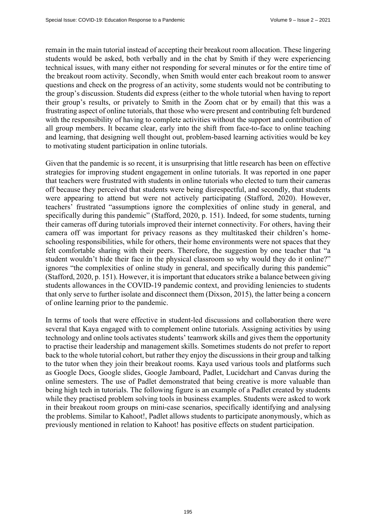remain in the main tutorial instead of accepting their breakout room allocation. These lingering students would be asked, both verbally and in the chat by Smith if they were experiencing technical issues, with many either not responding for several minutes or for the entire time of the breakout room activity. Secondly, when Smith would enter each breakout room to answer questions and check on the progress of an activity, some students would not be contributing to the group's discussion. Students did express (either to the whole tutorial when having to report their group's results, or privately to Smith in the Zoom chat or by email) that this was a frustrating aspect of online tutorials, that those who were present and contributing felt burdened with the responsibility of having to complete activities without the support and contribution of all group members. It became clear, early into the shift from face-to-face to online teaching and learning, that designing well thought out, problem-based learning activities would be key to motivating student participation in online tutorials.

Given that the pandemic is so recent, it is unsurprising that little research has been on effective strategies for improving student engagement in online tutorials. It was reported in one paper that teachers were frustrated with students in online tutorials who elected to turn their cameras off because they perceived that students were being disrespectful, and secondly, that students were appearing to attend but were not actively participating (Stafford, 2020). However, teachers' frustrated "assumptions ignore the complexities of online study in general, and specifically during this pandemic" (Stafford, 2020, p. 151). Indeed, for some students, turning their cameras off during tutorials improved their internet connectivity. For others, having their camera off was important for privacy reasons as they multitasked their children's homeschooling responsibilities, while for others, their home environments were not spaces that they felt comfortable sharing with their peers. Therefore, the suggestion by one teacher that "a student wouldn't hide their face in the physical classroom so why would they do it online?" ignores "the complexities of online study in general, and specifically during this pandemic" (Stafford, 2020, p. 151). However, it is important that educators strike a balance between giving students allowances in the COVID-19 pandemic context, and providing leniencies to students that only serve to further isolate and disconnect them (Dixson, 2015), the latter being a concern of online learning prior to the pandemic.

In terms of tools that were effective in student-led discussions and collaboration there were several that Kaya engaged with to complement online tutorials. Assigning activities by using technology and online tools activates students' teamwork skills and gives them the opportunity to practise their leadership and management skills. Sometimes students do not prefer to report back to the whole tutorial cohort, but rather they enjoy the discussions in their group and talking to the tutor when they join their breakout rooms. Kaya used various tools and platforms such as Google Docs, Google slides, Google Jamboard, Padlet, Lucidchart and Canvas during the online semesters. The use of Padlet demonstrated that being creative is more valuable than being high tech in tutorials. The following figure is an example of a Padlet created by students while they practised problem solving tools in business examples. Students were asked to work in their breakout room groups on mini-case scenarios, specifically identifying and analysing the problems. Similar to Kahoot!, Padlet allows students to participate anonymously, which as previously mentioned in relation to Kahoot! has positive effects on student participation.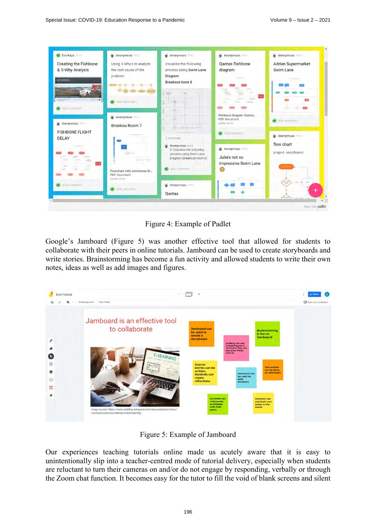| <b>Ece Kaya</b>                 | Anonymous 31                 | Anonymous 9mg                                        | <b>Anonymous</b> 3mm         | Anonymous 3mo             |
|---------------------------------|------------------------------|------------------------------------------------------|------------------------------|---------------------------|
| <b>Creating the Fishbone</b>    | Using 5 Why's to analyze     | Visualise the following                              | <b>Oantas Fishbone</b>       | <b>Adrian Supermarket</b> |
| & 5-Why Analysis                | the root cause of the        | process using Swim Lane                              | diagram                      | Swim Lane                 |
| $\sim$                          | problem                      | Diagram<br>Breakout room 6                           |                              |                           |
|                                 |                              |                                                      |                              |                           |
|                                 |                              | $=$                                                  |                              |                           |
|                                 | Add comment                  | $-17-$                                               |                              |                           |
| Add comment                     |                              |                                                      |                              |                           |
|                                 | Anonymous 3                  |                                                      | Fishbone diagram Qantas      |                           |
| Anonymous 3mg                   |                              |                                                      | PDF document<br>padiet drive | Add comment               |
|                                 | Brookou Room 7               |                                                      |                              |                           |
| <b>FISHBONE FLIGHT</b><br>DELAY |                              | 1 comment                                            | Add comment                  | Anonymous 300             |
|                                 |                              | Anonymous 3mo<br>٠                                   |                              | flow chart                |
|                                 |                              | 3. Visualise the following                           | Anonymous 3ma                | project enrollment        |
|                                 |                              | process using Swim Lane<br>Diagram (Breakout room 6) | Julie's not so               |                           |
|                                 |                              |                                                      | impressive Swim Lane         |                           |
|                                 | Flowchart with swimlanes Br  | Add comment                                          | $\odot$                      |                           |
|                                 | PDF document<br>padlet drive |                                                      |                              |                           |
| Add comment                     |                              | Anonymous 3mm                                        |                              |                           |
|                                 | Add comment                  | Oantas                                               |                              | ۰                         |

Figure 4: Example of Padlet

Google's Jamboard (Figure 5) was another effective tool that allowed for students to collaborate with their peers in online tutorials. Jamboard can be used to create storyboards and write stories. Brainstorming has become a fun activity and allowed students to write their own notes, ideas as well as add images and figures.



Figure 5: Example of Jamboard

Our experiences teaching tutorials online made us acutely aware that it is easy to unintentionally slip into a teacher-centred mode of tutorial delivery, especially when students are reluctant to turn their cameras on and/or do not engage by responding, verbally or through the Zoom chat function. It becomes easy for the tutor to fill the void of blank screens and silent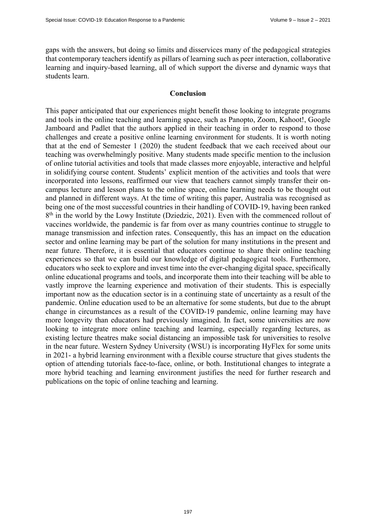gaps with the answers, but doing so limits and disservices many of the pedagogical strategies that contemporary teachers identify as pillars of learning such as peer interaction, collaborative learning and inquiry-based learning, all of which support the diverse and dynamic ways that students learn.

#### **Conclusion**

This paper anticipated that our experiences might benefit those looking to integrate programs and tools in the online teaching and learning space, such as Panopto, Zoom, Kahoot!, Google Jamboard and Padlet that the authors applied in their teaching in order to respond to those challenges and create a positive online learning environment for students. It is worth noting that at the end of Semester 1 (2020) the student feedback that we each received about our teaching was overwhelmingly positive. Many students made specific mention to the inclusion of online tutorial activities and tools that made classes more enjoyable, interactive and helpful in solidifying course content. Students' explicit mention of the activities and tools that were incorporated into lessons, reaffirmed our view that teachers cannot simply transfer their oncampus lecture and lesson plans to the online space, online learning needs to be thought out and planned in different ways. At the time of writing this paper, Australia was recognised as being one of the most successful countries in their handling of COVID-19, having been ranked  $8<sup>th</sup>$  in the world by the Lowy Institute (Dziedzic, 2021). Even with the commenced rollout of vaccines worldwide, the pandemic is far from over as many countries continue to struggle to manage transmission and infection rates. Consequently, this has an impact on the education sector and online learning may be part of the solution for many institutions in the present and near future. Therefore, it is essential that educators continue to share their online teaching experiences so that we can build our knowledge of digital pedagogical tools. Furthermore, educators who seek to explore and invest time into the ever-changing digital space, specifically online educational programs and tools, and incorporate them into their teaching will be able to vastly improve the learning experience and motivation of their students. This is especially important now as the education sector is in a continuing state of uncertainty as a result of the pandemic. Online education used to be an alternative for some students, but due to the abrupt change in circumstances as a result of the COVID-19 pandemic, online learning may have more longevity than educators had previously imagined. In fact, some universities are now looking to integrate more online teaching and learning, especially regarding lectures, as existing lecture theatres make social distancing an impossible task for universities to resolve in the near future. Western Sydney University (WSU) is incorporating HyFlex for some units in 2021- a hybrid learning environment with a flexible course structure that gives students the option of attending tutorials face-to-face, online, or both. Institutional changes to integrate a more hybrid teaching and learning environment justifies the need for further research and publications on the topic of online teaching and learning.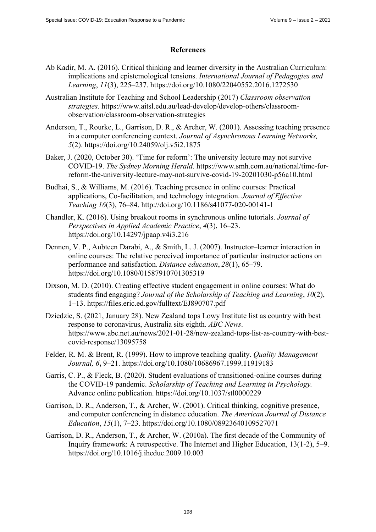# **References**

- Ab Kadir, M. A. (2016). Critical thinking and learner diversity in the Australian Curriculum: implications and epistemological tensions. *International Journal of Pedagogies and Learning*, *11*(3), 225–237. <https://doi.org/10.1080/22040552.2016.1272530>
- Australian Institute for Teaching and School Leadership (2017) *Classroom observation strategies*[. https://www.aitsl.edu.au/lead-develop/develop-others/classroom](https://www.aitsl.edu.au/lead-develop/develop-others/classroom-observation/classroom-observation-strategies)observation[/classroom-observation-strategies](https://www.aitsl.edu.au/lead-develop/develop-others/classroom-observation/classroom-observation-strategies)
- Anderson, T., Rourke, L., Garrison, D. R., & Archer, W. (2001). Assessing teaching presence in a computer conferencing context. *Journal of Asynchronous Learning Networks, 5*(2). <https://doi.org/10.24059/olj.v5i2.1875>
- Baker, J. (2020, October 30). 'Time for reform': The university lecture may not survive COVID-19. *The Sydney Morning Herald*. [https://www.smh.com.au/national/time-for](https://www.smh.com.au/national/time-for-reform-the-university-lecture-may-not-survive-covid-19-20201030-p56a10.html)[reform-the-university-lecture-may-not-survive-covid-19-20201030-p56a10.html](https://www.smh.com.au/national/time-for-reform-the-university-lecture-may-not-survive-covid-19-20201030-p56a10.html)
- Budhai, S., & Williams, M. (2016). Teaching presence in online courses: Practical applications, Co-facilitation, and technology integration. *Journal of Effective Teaching 16*(3), 76–84. <http://doi.org/10.1186/s41077-020-00141-1>
- Chandler, K. (2016). Using breakout rooms in synchronous online tutorials. *Journal of Perspectives in Applied Academic Practice*, *4*(3), 16–23. <https://doi.org/10.14297/jpaap.v4i3.216>
- Dennen, V. P., Aubteen Darabi, A., & Smith, L. J. (2007). Instructor–learner interaction in online courses: The relative perceived importance of particular instructor actions on performance and satisfaction. *Distance education*, *28*(1), 65–79. <https://doi.org/10.1080/01587910701305319>
- Dixson, M. D. (2010). Creating effective student engagement in online courses: What do students find engaging? *Journal of the Scholarship of Teaching and Learning*, *10*(2), 1–13. <https://files.eric.ed.gov/fulltext/EJ890707.pdf>
- Dziedzic, S. (2021, January 28). New Zealand tops Lowy Institute list as country with best response to coronavirus, Australia sits eighth. *ABC News*. [https://www.abc.net.au/news/2021-01-28/new-zealand-tops-list-as-country-with-best](https://www.abc.net.au/news/2021-01-28/new-zealand-tops-list-as-country-with-best-covid-response/13095758)covid-[response/13095758](https://www.abc.net.au/news/2021-01-28/new-zealand-tops-list-as-country-with-best-covid-response/13095758)
- Felder, R. M. & Brent, R. (1999). How to improve teaching quality. *Quality Management Journal, 6***,** 9–21.<https://doi.org/10.1080/10686967.1999.11919183>
- Garris, C. P., & Fleck, B. (2020). Student evaluations of transitioned-online courses during the COVID-19 pandemic. *Scholarship of Teaching and Learning in Psychology.* Advance online publication. <https://doi.org/10.1037/stl0000229>
- Garrison, D. R., Anderson, T., & Archer, W. (2001). Critical thinking, cognitive presence, and computer conferencing in distance education. *The American Journal of Distance Education*, *15*(1), 7–23.<https://doi.org/10.1080/08923640109527071>
- Garrison, D. R., Anderson, T., & Archer, W. (2010a). The first decade of the Community of Inquiry framework: A retrospective. The Internet and Higher Education, 13(1-2), 5–9. <https://doi.org/10.1016/j.iheduc.2009.10.003>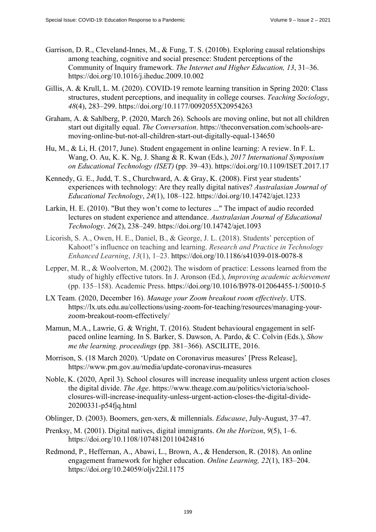- Garrison, D. R., Cleveland-Innes, M., & Fung, T. S. (2010b). Exploring causal relationships among teaching, cognitive and social presence: Student perceptions of the Community of Inquiry framework. *The Internet and Higher Education, 13*, 31–36. <https://doi.org/10.1016/j.iheduc.2009.10.002>
- Gillis, A. & Krull, L. M. (2020). COVID-19 remote learning transition in Spring 2020: Class structures, student perceptions, and inequality in college courses. *Teaching Sociology*, *48*(4), 283–299. <https://doi.org/10.1177/0092055X20954263>
- Graham, A. & Sahlberg, P. (2020, March 26). Schools are moving online, but not all children start out digitally equal. *The Conversation*. [https://theconversation.com/schools-are](https://theconversation.com/schools-are-moving-online-but-not-all-children-start-out-digitally-equal-134650)[moving-online-but-not-all-children-start-out-digitally-equal-134650](https://theconversation.com/schools-are-moving-online-but-not-all-children-start-out-digitally-equal-134650)
- Hu, M., & Li, H. (2017, June). Student engagement in online learning: A review. In F. L. Wang, O. Au, K. K. Ng, J. Shang & R. Kwan (Eds.), *2017 International Symposium on Educational Technology (ISET)* (pp. 39–43).<https://doi.org/10.1109/ISET.2017.17>
- Kennedy, G. E., Judd, T. S., Churchward, A. & Gray, K. (2008). First year students' experiences with technology: Are they really digital natives? *Australasian Journal of Educational Technology*, *24*(1), 108–122. <https://doi.org/10.14742/ajet.1233>
- Larkin, H. E. (2010). "But they won't come to lectures ..." The impact of audio recorded lectures on student experience and attendance. *Australasian Journal of Educational Technology*. *26*(2), 238–249. <https://doi.org/10.14742/ajet.1093>
- Licorish, S. A., Owen, H. E., Daniel, B., & George, J. L. (2018). Students' perception of Kahoot!'s influence on teaching and learning. *Research and Practice in Technology Enhanced Learning*, *13*(1), 1–23. <https://doi.org/10.1186/s41039-018-0078-8>
- Lepper, M. R., & Woolverton, M. (2002). The wisdom of practice: Lessons learned from the study of highly effective tutors. In J. Aronson (Ed.), *Improving academic achievement* (pp. 135–158). Academic Press. <https://doi.org/10.1016/B978-012064455-1/50010-5>
- LX Team. (2020, December 16). *Manage your Zoom breakout room effectively*. UTS. [https://lx.uts.edu.au/collections/using-zoom-for-teaching/resources/managing-your](https://lx.uts.edu.au/collections/using-zoom-for-teaching/resources/managing-your-zoom-breakout-room-effectively/)zoom-[breakout-room-effectively/](https://lx.uts.edu.au/collections/using-zoom-for-teaching/resources/managing-your-zoom-breakout-room-effectively/)
- Mamun, M.A., Lawrie, G. & Wright, T. (2016). Student behavioural engagement in selfpaced online learning. In S. Barker, S. Dawson, A. Pardo, & C. Colvin (Eds.), *Show me the learning. proceedings* (pp. 381–366). ASCILITE, 2016.
- Morrison, S. (18 March 2020). 'Update on Coronavirus measures' [Press Release], <https://www.pm.gov.au/media/update-coronavirus-measures>
- Noble, K. (2020, April 3). School closures will increase inequality unless urgent action closes the digital divide. *The Age*. [https://www.theage.com.au/politics/victoria/sch](https://www.theage.com.au/politics/victoria/school-closures-will-increase-inequality-unless-urgent-action-closes-the-digital-divide-20200331-p54fjq.html)ool[closures-will-increase-inequality-unless-urgent-action-closes-the-digital-divide-](https://www.theage.com.au/politics/victoria/school-closures-will-increase-inequality-unless-urgent-action-closes-the-digital-divide-20200331-p54fjq.html)[20200331-p54fjq.html](https://www.theage.com.au/politics/victoria/school-closures-will-increase-inequality-unless-urgent-action-closes-the-digital-divide-20200331-p54fjq.html)
- Oblinger, D. (2003). Boomers, gen-xers, & millennials. *Educause*, July-August, 37–47.
- Prenksy, M. (2001). Digital natives, digital immigrants. *On the Horizon*, *9*(5), 1–6. <https://doi.org/10.1108/10748120110424816>
- Redmond, P., Heffernan, A., Abawi, L., Brown, A., & Henderson, R. (2018). An online engagement framework for higher education. *Online Learning, 22*(1), 183–204. <https://doi.org/10.24059/oljv22il.1175>